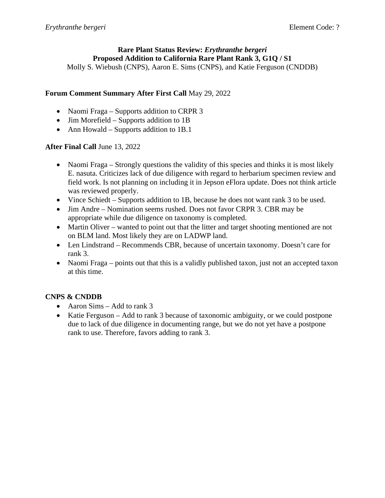# **Rare Plant Status Review:** *Erythranthe bergeri* **Proposed Addition to California Rare Plant Rank 3, G1Q / S1**

Molly S. Wiebush (CNPS), Aaron E. Sims (CNPS), and Katie Ferguson (CNDDB)

# **Forum Comment Summary After First Call** May 29, 2022

- Naomi Fraga Supports addition to CRPR 3
- Jim Morefield Supports addition to 1B
- Ann Howald Supports addition to 1B.1

# **After Final Call** June 13, 2022

- Naomi Fraga Strongly questions the validity of this species and thinks it is most likely E. nasuta. Criticizes lack of due diligence with regard to herbarium specimen review and field work. Is not planning on including it in Jepson eFlora update. Does not think article was reviewed properly.
- Vince Schiedt Supports addition to 1B, because he does not want rank 3 to be used.
- Jim Andre Nomination seems rushed. Does not favor CRPR 3. CBR may be appropriate while due diligence on taxonomy is completed.
- Martin Oliver wanted to point out that the litter and target shooting mentioned are not on BLM land. Most likely they are on LADWP land.
- Len Lindstrand Recommends CBR, because of uncertain taxonomy. Doesn't care for rank 3.
- Naomi Fraga points out that this is a validly published taxon, just not an accepted taxon at this time.

# **CNPS & CNDDB**

- Aaron Sims Add to rank 3
- Katie Ferguson Add to rank 3 because of taxonomic ambiguity, or we could postpone due to lack of due diligence in documenting range, but we do not yet have a postpone rank to use. Therefore, favors adding to rank 3.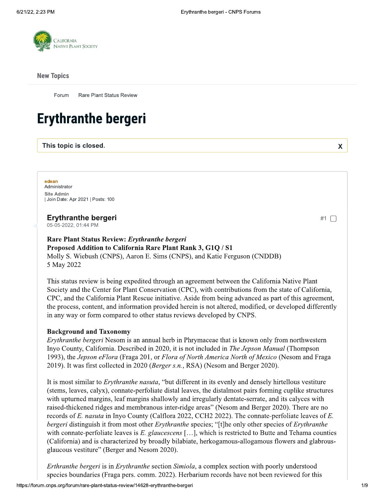

#### **New Topics**

Forum Rare Plant Status Review

# **Erythranthe bergeri**

This topic is closed.

edean Administrator **Site Admin** Join Date: Apr 2021 | Posts: 100

### **Erythranthe bergeri**

05-05-2022, 01:44 PM

#### Rare Plant Status Review: Erythranthe bergeri Proposed Addition to California Rare Plant Rank 3, G1Q / S1

Molly S. Wiebush (CNPS), Aaron E. Sims (CNPS), and Katie Ferguson (CNDDB) 5 May 2022

This status review is being expedited through an agreement between the California Native Plant Society and the Center for Plant Conservation (CPC), with contributions from the state of California, CPC, and the California Plant Rescue initiative. Aside from being advanced as part of this agreement, the process, content, and information provided herein is not altered, modified, or developed differently in any way or form compared to other status reviews developed by CNPS.

#### **Background and Taxonomy**

*Erythranthe bergeri* Nesom is an annual herb in Phrymaceae that is known only from northwestern Inyo County, California. Described in 2020, it is not included in *The Jepson Manual* (Thompson 1993), the Jepson eFlora (Fraga 201, or Flora of North America North of Mexico (Nesom and Fraga 2019). It was first collected in 2020 (Berger s.n., RSA) (Nesom and Berger 2020).

It is most similar to *Erythranthe nasuta*, "but different in its evenly and densely hirtellous vestiture (stems, leaves, calyx), connate-perfoliate distal leaves, the distalmost pairs forming cuplike structures with upturned margins, leaf margins shallowly and irregularly dentate-serrate, and its calvees with raised-thickened ridges and membranous inter-ridge areas" (Nesom and Berger 2020). There are no records of E. nasuta in Inyo County (Calflora 2022, CCH2 2022). The connate-perfoliate leaves of E. bergeri distinguish it from most other *Erythranthe* species; "[t]he only other species of *Erythranthe* with connate-perfoliate leaves is E. glaucescens [...], which is restricted to Butte and Tehama counties (California) and is characterized by broadly bilabiate, herkogamous-allogamous flowers and glabrousglaucous vestiture" (Berger and Nesom 2020).

Erthranthe bergeri is in Erythranthe section Simiola, a complex section with poorly understood species boundaries (Fraga pers. comm. 2022). Herbarium records have not been reviewed for this

#1 □

 $\mathbf x$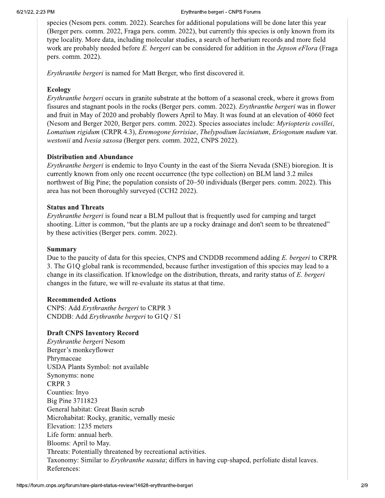species (Nesom pers. comm. 2022). Searches for additional populations will be done later this year (Berger pers. comm. 2022, Fraga pers. comm. 2022), but currently this species is only known from its type locality. More data, including molecular studies, a search of herbarium records and more field work are probably needed before E. bergeri can be considered for addition in the *Jepson eFlora* (Fraga pers. comm. 2022).

Erythranthe bergeri is named for Matt Berger, who first discovered it.

## Ecology

*Erythranthe bergeri* occurs in granite substrate at the bottom of a seasonal creek, where it grows from fissures and stagnant pools in the rocks (Berger pers. comm. 2022). *Erythranthe bergeri* was in flower and fruit in May of 2020 and probably flowers April to May. It was found at an elevation of 4060 feet (Nesom and Berger 2020, Berger pers. comm. 2022). Species associates include: *Myriopteris covillei*, Lomatium rigidum (CRPR 4.3), Eremogone ferrisiae, Thelypodium laciniatum, Eriogonum nudum var. westonii and Ivesia saxosa (Berger pers. comm. 2022, CNPS 2022).

## **Distribution and Abundance**

*Erythranthe bergeri* is endemic to Inyo County in the east of the Sierra Nevada (SNE) bioregion. It is currently known from only one recent occurrence (the type collection) on BLM land 3.2 miles northwest of Big Pine; the population consists of 20–50 individuals (Berger pers. comm. 2022). This area has not been thoroughly surveyed (CCH2 2022).

### **Status and Threats**

*Erythranthe bergeri* is found near a BLM pullout that is frequently used for camping and target shooting. Litter is common, "but the plants are up a rocky drainage and don't seem to be threatened" by these activities (Berger pers. comm. 2022).

### Summary

Due to the paucity of data for this species, CNPS and CNDDB recommend adding E. bergeri to CRPR 3. The G1Q global rank is recommended, because further investigation of this species may lead to a change in its classification. If knowledge on the distribution, threats, and rarity status of E. bergeri changes in the future, we will re-evaluate its status at that time.

### **Recommended Actions**

CNPS: Add Erythranthe bergeri to CRPR 3 CNDDB: Add Erythranthe bergeri to G1Q / S1

# **Draft CNPS Inventory Record**

Erythranthe bergeri Nesom Berger's monkeyflower Phrymaceae USDA Plants Symbol: not available Synonyms: none CRPR<sub>3</sub> Counties: Inyo **Big Pine 3711823** General habitat: Great Basin scrub Microhabitat: Rocky, granitic, vernally mesic Elevation: 1235 meters Life form: annual herb. Blooms: April to May. Threats: Potentially threatened by recreational activities. Taxonomy: Similar to *Erythranthe nasuta*; differs in having cup-shaped, perfoliate distal leaves. References: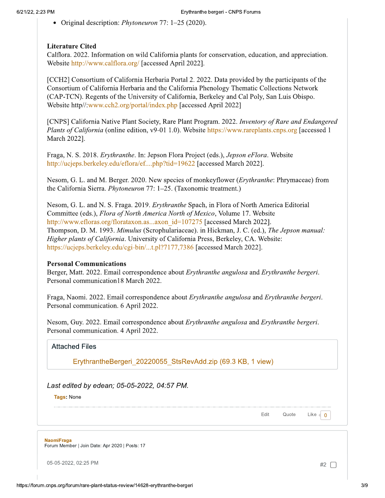• Original description: *Phytoneuron* 77: 1–25 (2020).

#### **Literature Cited**

Califora. 2022. Information on wild California plants for conservation, education, and appreciation. Website http://www.calflora.org/ [accessed April 2022].

[CCH2] Consortium of California Herbaria Portal 2. 2022. Data provided by the participants of the Consortium of California Herbaria and the California Phenology Thematic Collections Network (CAP-TCN). Regents of the University of California, Berkeley and Cal Poly, San Luis Obispo. Website http//:www.cch2.org/portal/index.php [accessed April 2022]

[CNPS] California Native Plant Society, Rare Plant Program. 2022. Inventory of Rare and Endangered *Plants of California* (online edition, v9-01 1.0). Website https://www.rareplants.cnps.org [accessed 1 March 2022].

Fraga, N. S. 2018. Erythranthe. In: Jepson Flora Project (eds.), Jepson eFlora. Website http://ucjeps.berkeley.edu/eflora/ef....php?tid=19622 [accessed March 2022].

Nesom, G. L. and M. Berger. 2020. New species of monkeyflower (*Erythranthe: Phrymaceae*) from the California Sierra. *Phytoneuron* 77: 1–25. (Taxonomic treatment.)

Nesom, G. L. and N. S. Fraga. 2019. *Erythranthe* Spach, in Flora of North America Editorial Committee (eds.), Flora of North America North of Mexico, Volume 17. Website http://www.efloras.org/florataxon.as...axon id=107275 [accessed March 2022]. Thompson, D. M. 1993. Mimulus (Scrophulariaceae). in Hickman, J. C. (ed.), The Jepson manual: Higher plants of California. University of California Press, Berkeley, CA. Website: https://ucjeps.berkeley.edu/cgi-bin/...t.pl?7177,7386 [accessed March 2022].

#### **Personal Communications**

Berger, Matt. 2022. Email correspondence about *Erythranthe angulosa* and *Erythranthe bergeri*. Personal communication 18 March 2022.

Fraga, Naomi. 2022. Email correspondence about Erythranthe angulosa and Erythranthe bergeri. Personal communication. 6 April 2022.

Nesom, Guy. 2022. Email correspondence about Erythranthe angulosa and Erythranthe bergeri. Personal communication. 4 April 2022.

#### **Attached Files**

ErythrantheBergeri 20220055 StsRevAdd.zip (69.3 KB, 1 view)

Last edited by edean; 05-05-2022, 04:57 PM.

Tags: None

Edit Quote

**NaomiFraga** Forum Member | Join Date: Apr 2020 | Posts: 17

05-05-2022, 02:25 PM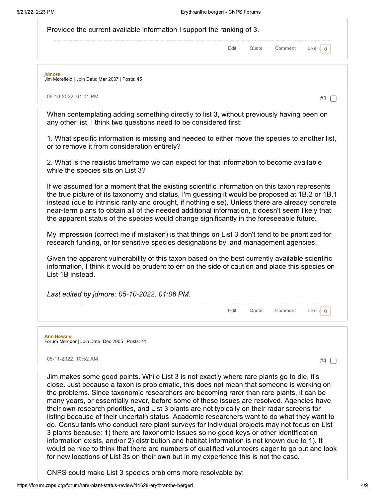| Provided the current available information I support the ranking of 3. |  |                    |                  |
|------------------------------------------------------------------------|--|--------------------|------------------|
|                                                                        |  | Edit Quote Comment | Like $\bullet$ 0 |
|                                                                        |  |                    |                  |
|                                                                        |  |                    |                  |

jdmore

Jim Morefield | Join Date: Mar 2007 | Posts: 45

05-10-2022, 01:01 PM

When contemplating adding something directly to list 3, without previously having been on any other list, I think two questions need to be considered first:

1. What specific information is missing and needed to either move the species to another list, or to remove it from consideration entirely?

2. What is the realistic timeframe we can expect for that information to become available while the species sits on List 3?

If we assumed for a moment that the existing scientific information on this taxon represents the true picture of its taxonomy and status, I'm quessing it would be proposed at 1B.2 or 1B.1 instead (due to intrinsic rarity and drought, if nothing else). Unless there are already concrete near-term plans to obtain all of the needed additional information, it doesn't seem likely that the apparent status of the species would change significantly in the foreseeable future.

My impression (correct me if mistaken) is that things on List 3 don't tend to be prioritized for research funding, or for sensitive species designations by land management agencies.

Given the apparent vulnerability of this taxon based on the best currently available scientific information, I think it would be prudent to err on the side of caution and place this species on List 1B instead.

| Last edited by jdmore; 05-10-2022, 01:06 PM. |      |         |      |
|----------------------------------------------|------|---------|------|
|                                              | ™ote | Comment | ∟ike |
|                                              |      |         |      |

**Ann Howald** 

Forum Member | Join Date: Dec 2005 | Posts: 41

05-11-2022, 10:52 AM

#4  $\Box$ 

#3  $\Box$ 

Jim makes some good points. While List 3 is not exactly where rare plants go to die, it's close. Just because a taxon is problematic, this does not mean that someone is working on the problems. Since taxonomic researchers are becoming rarer than rare plants, it can be many years, or essentially never, before some of these issues are resolved. Agencies have their own research priorities, and List 3 plants are not typically on their radar screens for listing because of their uncertain status. Academic researchers want to do what they want to do. Consultants who conduct rare plant surveys for individual projects may not focus on List 3 plants because: 1) there are taxonomic issues so no good keys or other identification information exists, and/or 2) distribution and habitat information is not known due to 1). It would be nice to think that there are numbers of qualified volunteers eager to go out and look for new locations of List 3s on their own but in my experience this is not the case.

CNPS could make List 3 species problems more resolvable by: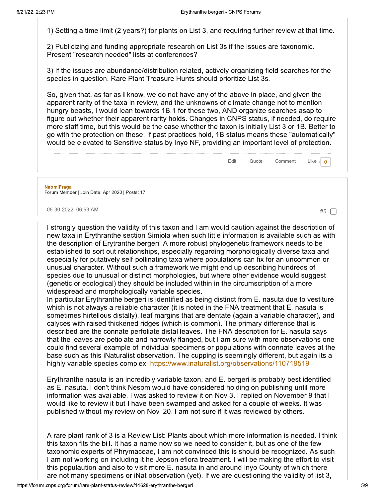1) Setting a time limit (2 years?) for plants on List 3, and requiring further review at that time.

2) Publicizing and funding appropriate research on List 3s if the issues are taxonomic. Present "research needed" lists at conferences?

3) If the issues are abundance/distribution related, actively organizing field searches for the species in question. Rare Plant Treasure Hunts should prioritize List 3s.

So, given that, as far as I know, we do not have any of the above in place, and given the apparent rarity of the taxa in review, and the unknowns of climate change not to mention hungry beasts, I would lean towards 1B.1 for these two, AND organize searches asap to figure out whether their apparent rarity holds. Changes in CNPS status, if needed, do require more staff time, but this would be the case whether the taxon is initially List 3 or 1B. Better to go with the protection on these. If past practices hold, 1B status means these "automatically" would be elevated to Sensitive status by Inyo NF, providing an important level of protection.



05-30-2022, 06:53 AM

I strongly question the validity of this taxon and I am would caution against the description of new taxa in Erythranthe section Simiola when such little information is available such as with the description of Erytranthe bergeri. A more robust phylogenetic framework needs to be established to sort out relationships, especially regarding morphologically diverse taxa and especially for putatively self-pollinating taxa where populations can fix for an uncommon or unusual character. Without such a framework we might end up describing hundreds of species due to unusual or distinct morphologies, but where other evidence would suggest (genetic or ecological) they should be included within in the circumscription of a more widespread and morphologically variable species.

In particular Erythranthe bergeri is identified as being distinct from E. nasuta due to vestiture which is not always a reliable character (it is noted in the FNA treatment that E. nasuta is sometimes hirtellous distally), leaf margins that are dentate (again a variable character), and calyces with raised thickened ridges (which is common). The primary difference that is described are the connate perfoliate distal leaves. The FNA description for E. nasuta says that the leaves are petiolate and narrowly flanged, but I am sure with more observations one could find several example of individual specimens or populations with connate leaves at the base such as this iNaturalist observation. The cupping is seemingly different, but again its a highly variable species complex. https://www.inaturalist.org/observations/110719519

Erythranthe nasuta is an incredibly variable taxon, and E. bergeri is probably best identified as E. nasuta. I don't think Nesom would have considered holding on publishing until more information was available. I was asked to review it on Nov 3. I replied on November 9 that I would like to review it but I have been swamped and asked for a couple of weeks. It was published without my review on Nov. 20. I am not sure if it was reviewed by others.

A rare plant rank of 3 is a Review List: Plants about which more information is needed. I think this taxon fits the bill. It has a name now so we need to consider it, but as one of the few taxonomic experts of Phrymaceae, I am not convinced this is should be recognized. As such I am not working on including it he Jepson eflora treatment. I will be making the effort to visit this populaution and also to visit more E. nasuta in and around Inyo County of which there are not many specimens or iNat observation (yet). If we are questioning the validity of list 3,

#5  $\Box$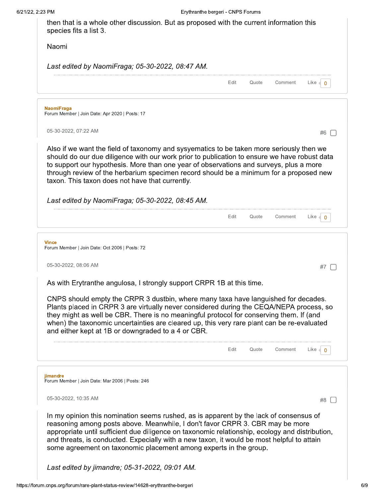| Last edited by NaomiFraga; 05-30-2022, 08:47 AM.                                                                                                                                                                                                                                                                                                                                                                                                                                                                                                                                             |               |         |                                  |
|----------------------------------------------------------------------------------------------------------------------------------------------------------------------------------------------------------------------------------------------------------------------------------------------------------------------------------------------------------------------------------------------------------------------------------------------------------------------------------------------------------------------------------------------------------------------------------------------|---------------|---------|----------------------------------|
|                                                                                                                                                                                                                                                                                                                                                                                                                                                                                                                                                                                              | Edit<br>Quote | Comment | Like $\triangleleft$<br>$\Omega$ |
| <b>NaomiFraga</b><br>Forum Member   Join Date: Apr 2020   Posts: 17                                                                                                                                                                                                                                                                                                                                                                                                                                                                                                                          |               |         |                                  |
| 05-30-2022, 07:22 AM                                                                                                                                                                                                                                                                                                                                                                                                                                                                                                                                                                         |               |         | #6                               |
| Also if we want the field of taxonomy and sysyematics to be taken more seriously then we<br>should do our due diligence with our work prior to publication to ensure we have robust data<br>to support our hypothesis. More than one year of observations and surveys, plus a more<br>through review of the herbarium specimen record should be a minimum for a proposed new<br>taxon. This taxon does not have that currently.                                                                                                                                                              |               |         |                                  |
| Last edited by NaomiFraga; 05-30-2022, 08:45 AM.                                                                                                                                                                                                                                                                                                                                                                                                                                                                                                                                             |               |         |                                  |
|                                                                                                                                                                                                                                                                                                                                                                                                                                                                                                                                                                                              | Edit<br>Quote | Comment | Like $\bigcirc$ 0                |
| <b>Vince</b><br>Forum Member   Join Date: Oct 2006   Posts: 72                                                                                                                                                                                                                                                                                                                                                                                                                                                                                                                               |               |         |                                  |
| 05-30-2022, 08:06 AM                                                                                                                                                                                                                                                                                                                                                                                                                                                                                                                                                                         |               |         | #7                               |
|                                                                                                                                                                                                                                                                                                                                                                                                                                                                                                                                                                                              |               |         |                                  |
|                                                                                                                                                                                                                                                                                                                                                                                                                                                                                                                                                                                              |               |         |                                  |
|                                                                                                                                                                                                                                                                                                                                                                                                                                                                                                                                                                                              |               |         |                                  |
|                                                                                                                                                                                                                                                                                                                                                                                                                                                                                                                                                                                              | Edit<br>Quote | Comment | Like $\bigcirc$                  |
|                                                                                                                                                                                                                                                                                                                                                                                                                                                                                                                                                                                              |               |         |                                  |
| As with Erytranthe angulosa, I strongly support CRPR 1B at this time.<br>CNPS should empty the CRPR 3 dustbin, where many taxa have languished for decades.<br>Plants placed in CRPR 3 are virtually never considered during the CEQA/NEPA process, so<br>they might as well be CBR. There is no meaningful protocol for conserving them. If (and<br>when) the taxonomic uncertainties are cleared up, this very rare plant can be re-evaluated<br>and either kept at 1B or downgraded to a 4 or CBR.<br>jimandre<br>Forum Member   Join Date: Mar 2006   Posts: 246<br>05-30-2022, 10:35 AM |               |         | #8                               |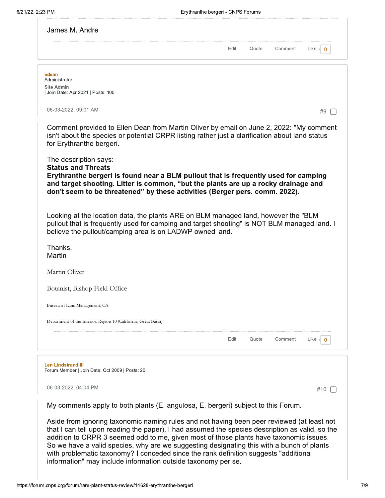|                                                                                                                                                                                                                                                                                                                                                                                                                          | Edit | Quote | Comment | Like<br>$\Omega$ |
|--------------------------------------------------------------------------------------------------------------------------------------------------------------------------------------------------------------------------------------------------------------------------------------------------------------------------------------------------------------------------------------------------------------------------|------|-------|---------|------------------|
| edean<br>Administrator                                                                                                                                                                                                                                                                                                                                                                                                   |      |       |         |                  |
| <b>Site Admin</b><br>  Join Date: Apr 2021   Posts: 100                                                                                                                                                                                                                                                                                                                                                                  |      |       |         |                  |
| 06-03-2022, 09:01 AM                                                                                                                                                                                                                                                                                                                                                                                                     |      |       |         | #9               |
| Comment provided to Ellen Dean from Martin Oliver by email on June 2, 2022: "My comment<br>isn't about the species or potential CRPR listing rather just a clarification about land status<br>for Erythranthe bergeri.                                                                                                                                                                                                   |      |       |         |                  |
| The description says:<br><b>Status and Threats</b><br>Erythranthe bergeri is found near a BLM pullout that is frequently used for camping                                                                                                                                                                                                                                                                                |      |       |         |                  |
| and target shooting. Litter is common, "but the plants are up a rocky drainage and<br>don't seem to be threatened" by these activities (Berger pers. comm. 2022).                                                                                                                                                                                                                                                        |      |       |         |                  |
|                                                                                                                                                                                                                                                                                                                                                                                                                          |      |       |         |                  |
|                                                                                                                                                                                                                                                                                                                                                                                                                          |      |       |         |                  |
|                                                                                                                                                                                                                                                                                                                                                                                                                          |      |       |         |                  |
|                                                                                                                                                                                                                                                                                                                                                                                                                          |      |       |         |                  |
|                                                                                                                                                                                                                                                                                                                                                                                                                          |      |       |         |                  |
|                                                                                                                                                                                                                                                                                                                                                                                                                          |      |       |         |                  |
|                                                                                                                                                                                                                                                                                                                                                                                                                          |      |       |         |                  |
| Looking at the location data, the plants ARE on BLM managed land, however the "BLM<br>pullout that is frequently used for camping and target shooting" is NOT BLM managed land. I<br>believe the pullout/camping area is on LADWP owned land.<br>Thanks,<br>Martin<br>Martin Oliver<br>Botanist, Bishop Field Office<br>Bureau of Land Management, CA<br>Department of the Interior, Region 10 (California, Great Basin) | Edit | Quote | Comment | Like<br>0        |
| <b>Len Lindstrand III</b><br>Forum Member   Join Date: Oct 2009   Posts: 20                                                                                                                                                                                                                                                                                                                                              |      |       |         |                  |
| 06-03-2022, 04:04 PM                                                                                                                                                                                                                                                                                                                                                                                                     |      |       |         | #10              |

addition to CRPR 3 seemed odd to me, given most of those plants have taxonomic issues.<br>So we have a valid species, why are we suggesting designating this with a bunch of plants<br>with problematic taxonomy? I conceded since t information" may include information outside taxonomy per se.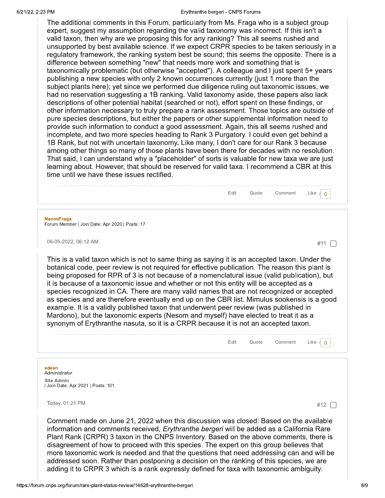#### Erythranthe bergeri - CNPS Forums

Fdit

Quote

The additional comments in this Forum, particularly from Ms. Fraga who is a subject group expert, suggest my assumption regarding the valid taxonomy was incorrect. If this isn't a valid taxon, then why are we proposing this for any ranking? This all seems rushed and unsupported by best available science. If we expect CRPR species to be taken seriously in a regulatory framework, the ranking system best be sound; this seems the opposite. There is a difference between something "new" that needs more work and something that is taxonomically problematic (but otherwise "accepted"). A colleague and I just spent 5+ years publishing a new species with only 2 known occurrences currently (just 1 more than the subject plants here); yet since we performed due diligence ruling out taxonomic issues, we had no reservation suggesting a 1B ranking. Valid taxonomy aside, these papers also lack descriptions of other potential habitat (searched or not), effort spent on these findings, or other information necessary to truly prepare a rank assessment. Those topics are outside of pure species descriptions, but either the papers or other supplemental information need to provide such information to conduct a good assessment. Again, this all seems rushed and incomplete, and two more species heading to Rank 3 Purgatory. I could even get behind a 1B Rank, but not with uncertain taxonomy. Like many, I don't care for our Rank 3 because among other things so many of those plants have been there for decades with no resolution. That said, I can understand why a "placeholder" of sorts is valuable for new taxa we are just learning about. However, that should be reserved for valid taxa. I recommend a CBR at this time until we have these issues rectified.

#### **NaomiFraga**

Forum Member | Join Date: Apr 2020 | Posts: 17

06-05-2022, 06:12 AM

#11  $\Box$ 

Comment

This is a valid taxon which is not to same thing as saying it is an accepted taxon. Under the botanical code, peer review is not required for effective publication. The reason this plant is being proposed for RPR of 3 is not because of a nomenclatural issue (valid publication), but it is because of a taxonomic issue and whether or not this entity will be accepted as a species recognized in CA. There are many valid names that are not recognized or accepted as species and are therefore eventually end up on the CBR list. Mimulus sookensis is a good example. It is a validly published taxon that underwent peer review (was published in Mardono), but the taxonomic experts (Nesom and myself) have elected to treat it as a synonym of Erythranthe nasuta, so it is a CRPR because it is not an accepted taxon.

|                                                                                                                                                                                                                                                                                     | Edit | Quote | Comment | Lıke |
|-------------------------------------------------------------------------------------------------------------------------------------------------------------------------------------------------------------------------------------------------------------------------------------|------|-------|---------|------|
|                                                                                                                                                                                                                                                                                     |      |       |         |      |
| edean<br>Administrator                                                                                                                                                                                                                                                              |      |       |         |      |
| <b>Site Admin</b><br>Join Date: Apr 2021   Posts: 101                                                                                                                                                                                                                               |      |       |         |      |
| Today, 01:21 PM                                                                                                                                                                                                                                                                     |      |       |         | #12  |
| Comment made on June 21, 2022 when this discussion was closed: Based on the available<br>information and comments received, <i>Erythranthe bergeri</i> will be added as a California Rare<br>Plant Rank (CRPR) 3 taxon in the CNPS Inventory. Based on the above comments, there is |      |       |         |      |

disagreement of how to proceed with this species. The expert on this group believes that more taxonomic work is needed and that the questions that need addressing can and will be addressed soon. Rather than postponing a decision on the ranking of this species, we are adding it to CRPR 3 which is a rank expressly defined for taxa with taxonomic ambiguity.